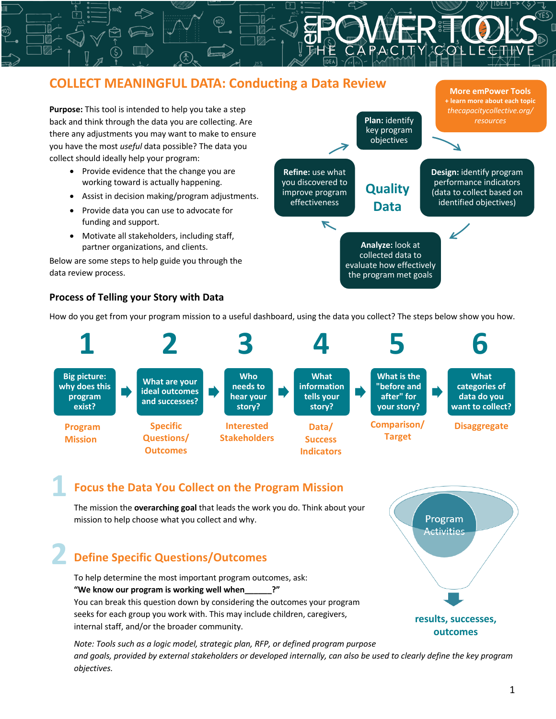#### **COLLECT MEANINGFUL DATA: Conducting a Data Review More emPower Tools + learn more about each topic Purpose:** This tool is intended to help you take a step *thecapacitycollective.org/* **Plan:** identify back and think through the data you are collecting. Are *resources* key program there any adjustments you may want to make to ensure objectives you have the most *useful* data possible? The data you collect should ideally help your program: • Provide evidence that the change you are **Refine:** use what **Design:** identify program working toward is actually happening. you discovered to performance indicators **Quality** improve program (data to collect based on • Assist in decision making/program adjustments. effectiveness identified objectives) **Data**  • Provide data you can use to advocate for funding and support.  $\blacktriangledown$ • Motivate all stakeholders, including staff, **Analyze:** look at partner organizations, and clients.

Below are some steps to help guide you through the data review process.

#### **Process of Telling your Story with Data**

**1**

How do you get from your program mission to a useful dashboard, using the data you collect? The steps below show you how.

collected data to evaluate how effectively the program met goals



#### **Focus the Data You Collect on the Program Mission**

The mission the **overarching goal** that leads the work you do. Think about your mission to help choose what you collect and why.

# **2 Define Specific Questions/Outcomes**

To help determine the most important program outcomes, ask: **"We know our program is working well when\_\_\_\_\_\_?"** You can break this question down by considering the outcomes your program seeks for each group you work with. This may include children, caregivers, internal staff, and/or the broader community.

Program **Activities results, successes, outcomes**

*Note: Tools such as a logic model, strategic plan, RFP, or defined program purpose and goals, provided by external stakeholders or developed internally, can also be used to clearly define the key program objectives.*